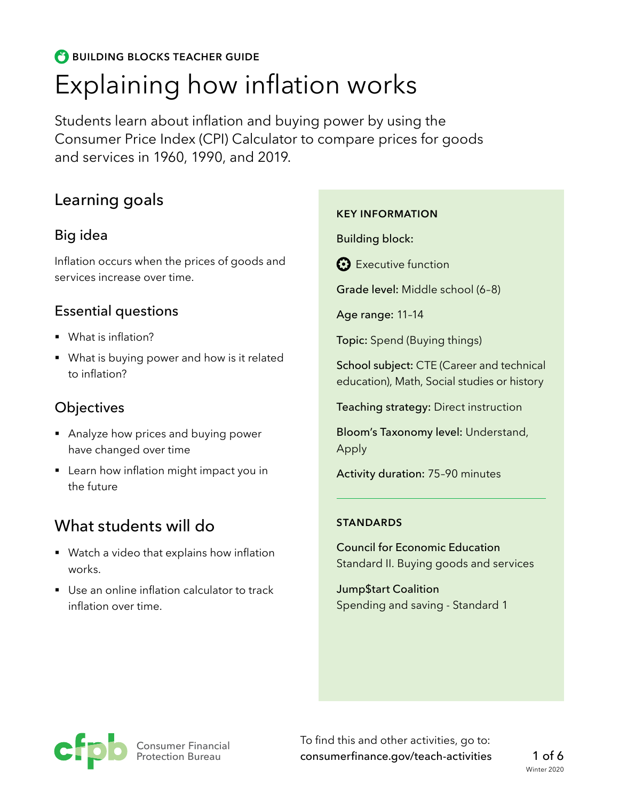# **BUILDING BLOCKS TEACHER GUIDE** Explaining how inflation works

Students learn about inflation and buying power by using the Consumer Price Index (CPI) Calculator to compare prices for goods and services in 1960, 1990, and 2019.

# Learning goals

### Big idea

Inflation occurs when the prices of goods and services increase over time.

### Essential questions

- § What is inflation?
- What is buying power and how is it related to inflation?

## **Objectives**

- Analyze how prices and buying power have changed over time
- Learn how inflation might impact you in the future

# What students will do

- Watch a video that explains how inflation works.
- Use an online inflation calculator to track inflation over time.

#### **KEY INFORMATION**

Building block:

**B** Executive function

Grade level: Middle school (6–8)

Age range: 11–14

Topic: Spend (Buying things)

School subject: CTE (Career and technical education), Math, Social studies or history

Teaching strategy: Direct instruction

Bloom's Taxonomy level: Understand, Apply

Activity duration: 75–90 minutes

#### **STANDARDS**

Council for Economic Education Standard II. Buying goods and services

Jump\$tart Coalition Spending and saving - Standard 1



To find this and other activities, go to: [consumerfinance.gov/teach-activities](https://www.consumerfinance.gov/teach-activities/)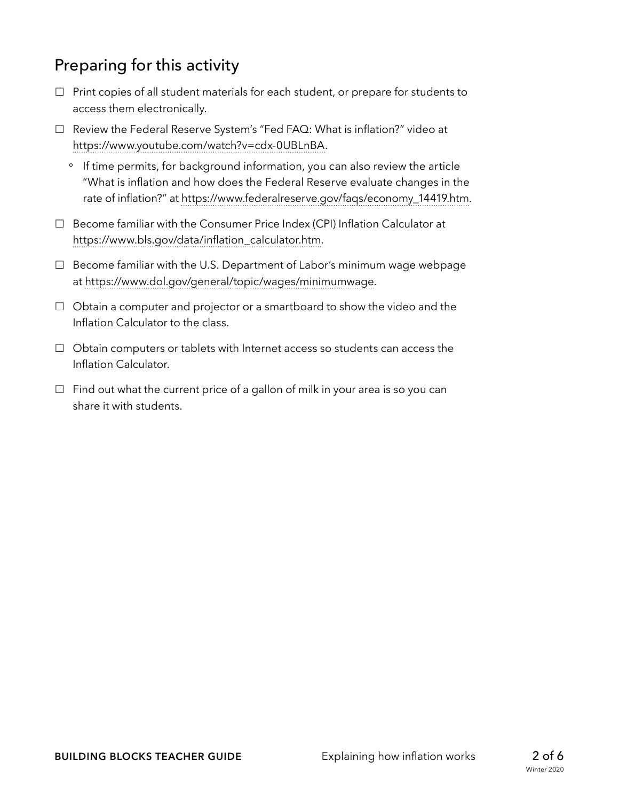# Preparing for this activity

- $\Box$  Print copies of all student materials for each student, or prepare for students to access them electronically.
- □ Review the Federal Reserve System's "Fed FAQ: What is inflation?" video at [https://www.youtube.com/watch?v=cdx-0UBLnBA.](https://www.youtube.com/watch?v=cdx-0UBLnBA)
	- ° If time permits, for background information, you can also review the article "What is inflation and how does the Federal Reserve evaluate changes in the rate of inflation?" at [https://www.federalreserve.gov/faqs/economy\\_14419.htm](https://www.federalreserve.gov/faqs/economy_14419.htm).
- $\Box$  Become familiar with the Consumer Price Index (CPI) Inflation Calculator at [https://www.bls.gov/data/inflation\\_calculator.htm.](https://www.bls.gov/data/inflation_calculator.htm)
- □ Become familiar with the U.S. Department of Labor's minimum wage webpage at [https://www.dol.gov/general/topic/wages/minimumwage.](https://www.dol.gov/general/topic/wages/minimumwage)
- $\Box$  Obtain a computer and projector or a smartboard to show the video and the Inflation Calculator to the class.
- $\Box$  Obtain computers or tablets with Internet access so students can access the Inflation Calculator.
- $\Box$  Find out what the current price of a gallon of milk in your area is so you can share it with students.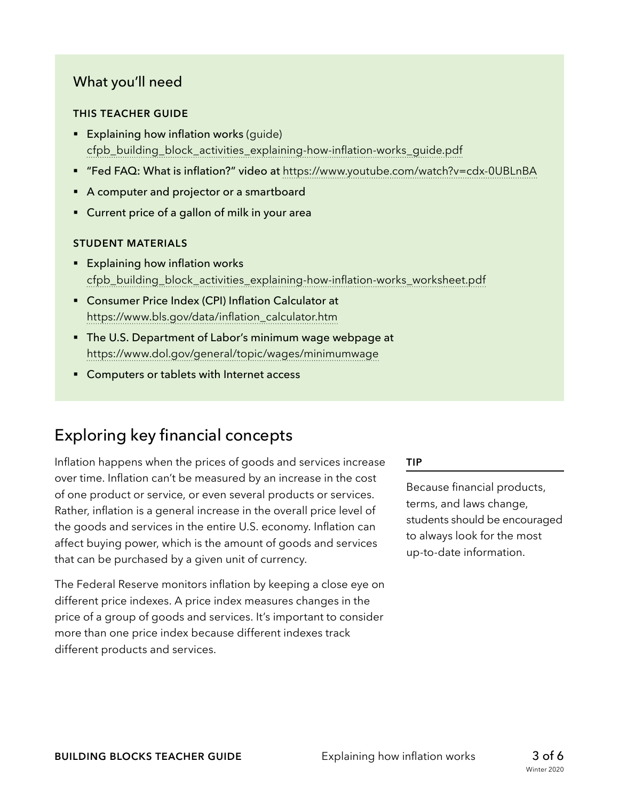### What you'll need

#### **THIS TEACHER GUIDE**

- **Explaining how inflation works (guide)** [cfpb\\_building\\_block\\_activities\\_explaining-how-inflation-works\\_guide.pdf](https://www.consumerfinance.gov/f/documents/cfpb_building_block_activities_explaining-how-inflation-works_guide.pdf)
- § "Fed FAQ: What is inflation?" video at <https://www.youtube.com/watch?v=cdx-0UBLnBA>
- A computer and projector or a smartboard
- Current price of a gallon of milk in your area

#### **STUDENT MATERIALS**

- Explaining how inflation works [cfpb\\_building\\_block\\_activities\\_explaining-how-inflation-works\\_worksheet.pdf](https://www.consumerfinance.gov/f/documents/cfpb_building_block_activities_explaining-how-inflation-works_worksheet.pdf)
- Consumer Price Index (CPI) Inflation Calculator at [https://www.bls.gov/data/inflation\\_calculator.htm](https://www.bls.gov/data/inflation_calculator.htm)
- § The U.S. Department of Labor's minimum wage webpage at <https://www.dol.gov/general/topic/wages/minimumwage>
- Computers or tablets with Internet access

# Exploring key financial concepts

Inflation happens when the prices of goods and services increase over time. Inflation can't be measured by an increase in the cost of one product or service, or even several products or services. Rather, inflation is a general increase in the overall price level of the goods and services in the entire U.S. economy. Inflation can affect buying power, which is the amount of goods and services that can be purchased by a given unit of currency.

The Federal Reserve monitors inflation by keeping a close eye on different price indexes. A price index measures changes in the price of a group of goods and services. It's important to consider more than one price index because different indexes track different products and services.

#### **TIP**

Because financial products, terms, and laws change, students should be encouraged to always look for the most up-to-date information.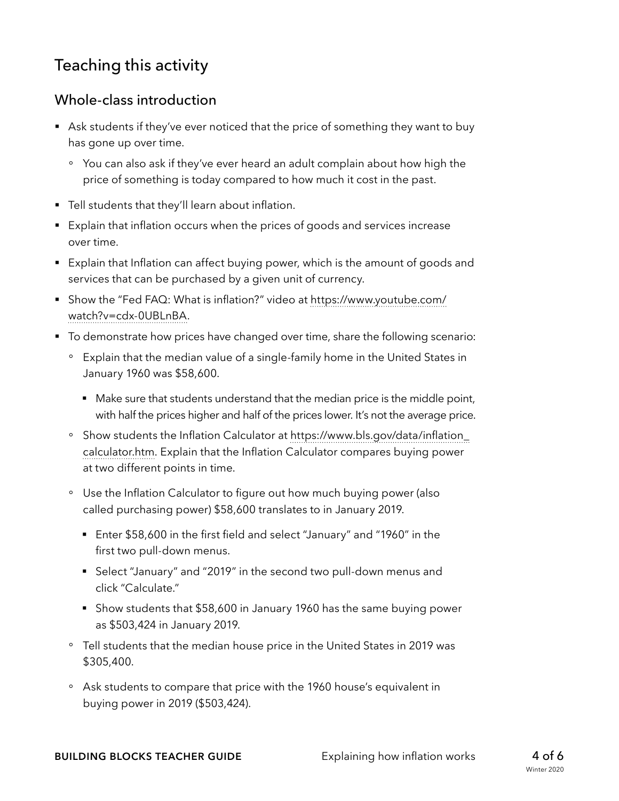# Teaching this activity

### Whole-class introduction

- Ask students if they've ever noticed that the price of something they want to buy has gone up over time.
	- ° You can also ask if they've ever heard an adult complain about how high the price of something is today compared to how much it cost in the past.
- **•** Tell students that they'll learn about inflation.
- Explain that inflation occurs when the prices of goods and services increase over time.
- Explain that Inflation can affect buying power, which is the amount of goods and services that can be purchased by a given unit of currency.
- Show the "Fed FAQ: What is inflation?" video at [https://www.youtube.com/](https://www.youtube.com/watch?v=cdx-0UBLnBA) [watch?v=cdx-0UBLnBA](https://www.youtube.com/watch?v=cdx-0UBLnBA).
- To demonstrate how prices have changed over time, share the following scenario:
	- ° Explain that the median value of a single-family home in the United States in January 1960 was \$58,600.
		- Make sure that students understand that the median price is the middle point, with half the prices higher and half of the prices lower. It's not the average price.
	- ° Show students the Inflation Calculator at [https://www.bls.gov/data/inflation\\_](https://www.bls.gov/data/inflation_calculator.htm) [calculator.htm.](https://www.bls.gov/data/inflation_calculator.htm) Explain that the Inflation Calculator compares buying power at two different points in time.
	- ° Use the Inflation Calculator to figure out how much buying power (also called purchasing power) \$58,600 translates to in January 2019.
		- Enter \$58,600 in the first field and select "January" and "1960" in the first two pull-down menus.
		- Select "January" and "2019" in the second two pull-down menus and click "Calculate."
		- Show students that \$58,600 in January 1960 has the same buying power as \$503,424 in January 2019.
	- ° Tell students that the median house price in the United States in 2019 was \$305,400.
	- ° Ask students to compare that price with the 1960 house's equivalent in buying power in 2019 (\$503,424).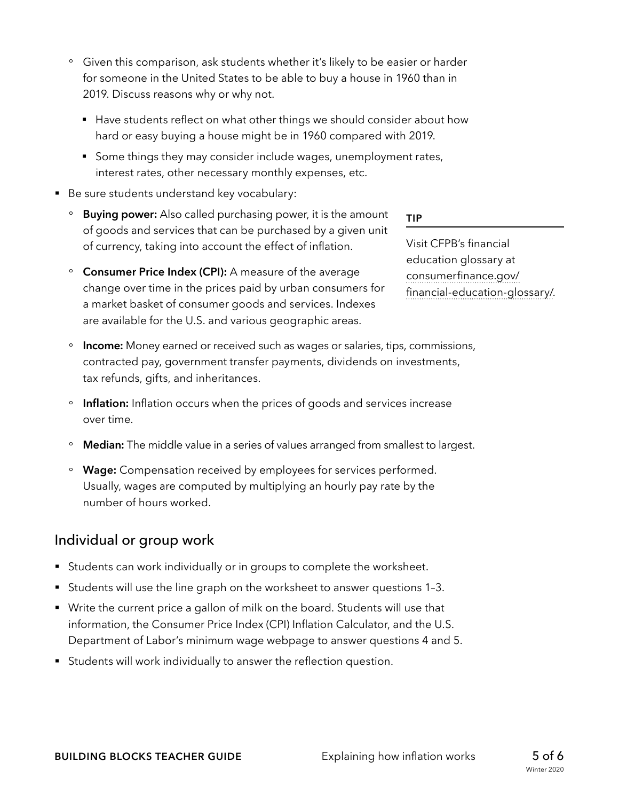- ° Given this comparison, ask students whether it's likely to be easier or harder for someone in the United States to be able to buy a house in 1960 than in 2019. Discuss reasons why or why not.
	- Have students reflect on what other things we should consider about how hard or easy buying a house might be in 1960 compared with 2019.
	- Some things they may consider include wages, unemployment rates, interest rates, other necessary monthly expenses, etc.
- Be sure students understand key vocabulary:
	- ° **Buying power:** Also called purchasing power, it is the amount of goods and services that can be purchased by a given unit of currency, taking into account the effect of inflation.
	- ° **Consumer Price Index (CPI):** A measure of the average change over time in the prices paid by urban consumers for a market basket of consumer goods and services. Indexes are available for the U.S. and various geographic areas.
- **TIP**

Visit CFPB's financial education glossary at [consumerfinance.gov/](https://www.consumerfinance.gov/practitioner-resources/youth-financial-education/glossary/) [financial-education-glossary/.](https://www.consumerfinance.gov/practitioner-resources/youth-financial-education/glossary/)

- ° **Income:** Money earned or received such as wages or salaries, tips, commissions, contracted pay, government transfer payments, dividends on investments, tax refunds, gifts, and inheritances.
- ° **Inflation:** Inflation occurs when the prices of goods and services increase over time.
- ° **Median:** The middle value in a series of values arranged from smallest to largest.
- ° **Wage:** Compensation received by employees for services performed. Usually, wages are computed by multiplying an hourly pay rate by the number of hours worked.

### Individual or group work

- Students can work individually or in groups to complete the worksheet.
- § Students will use the line graph on the worksheet to answer questions 1–3.
- § Write the current price a gallon of milk on the board. Students will use that information, the Consumer Price Index (CPI) Inflation Calculator, and the U.S. Department of Labor's minimum wage webpage to answer questions 4 and 5.
- Students will work individually to answer the reflection question.